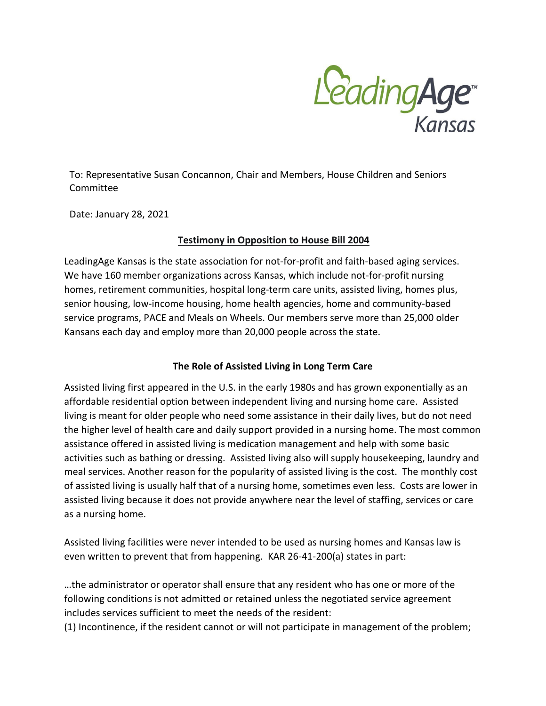

To: Representative Susan Concannon, Chair and Members, House Children and Seniors Committee

Date: January 28, 2021

#### **Testimony in Opposition to House Bill 2004**

LeadingAge Kansas is the state association for not-for-profit and faith-based aging services. We have 160 member organizations across Kansas, which include not-for-profit nursing homes, retirement communities, hospital long-term care units, assisted living, homes plus, senior housing, low-income housing, home health agencies, home and community-based service programs, PACE and Meals on Wheels. Our members serve more than 25,000 older Kansans each day and employ more than 20,000 people across the state.

## **The Role of Assisted Living in Long Term Care**

Assisted living first appeared in the U.S. in the early 1980s and has grown exponentially as an affordable residential option between independent living and nursing home care. Assisted living is meant for older people who need some assistance in their daily lives, but do not need the higher level of health care and daily support provided in a nursing home. The most common assistance offered in assisted living is medication management and help with some basic activities such as bathing or dressing. Assisted living also will supply housekeeping, laundry and meal services. Another reason for the popularity of assisted living is the cost. The monthly cost of assisted living is usually half that of a nursing home, sometimes even less. Costs are lower in assisted living because it does not provide anywhere near the level of staffing, services or care as a nursing home.

Assisted living facilities were never intended to be used as nursing homes and Kansas law is even written to prevent that from happening. KAR 26-41-200(a) states in part:

…the administrator or operator shall ensure that any resident who has one or more of the following conditions is not admitted or retained unless the negotiated service agreement includes services sufficient to meet the needs of the resident:

(1) Incontinence, if the resident cannot or will not participate in management of the problem;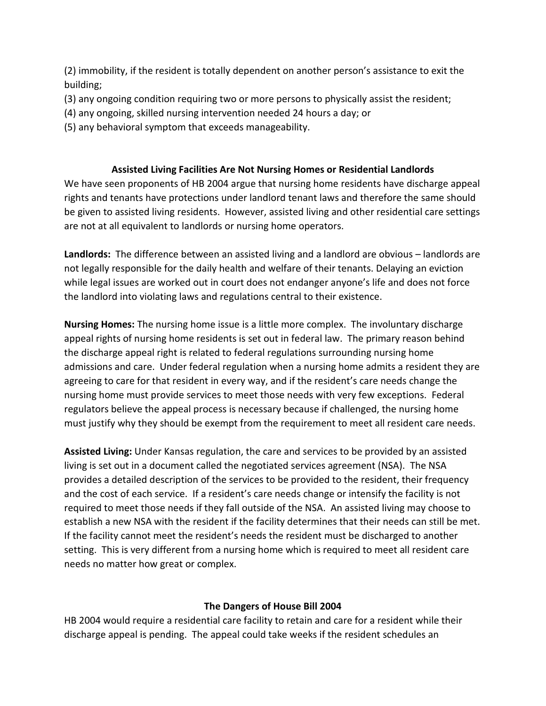(2) immobility, if the resident is totally dependent on another person's assistance to exit the building;

- (3) any ongoing condition requiring two or more persons to physically assist the resident;
- (4) any ongoing, skilled nursing intervention needed 24 hours a day; or
- (5) any behavioral symptom that exceeds manageability.

### **Assisted Living Facilities Are Not Nursing Homes or Residential Landlords**

We have seen proponents of HB 2004 argue that nursing home residents have discharge appeal rights and tenants have protections under landlord tenant laws and therefore the same should be given to assisted living residents. However, assisted living and other residential care settings are not at all equivalent to landlords or nursing home operators.

**Landlords:** The difference between an assisted living and a landlord are obvious – landlords are not legally responsible for the daily health and welfare of their tenants. Delaying an eviction while legal issues are worked out in court does not endanger anyone's life and does not force the landlord into violating laws and regulations central to their existence.

**Nursing Homes:** The nursing home issue is a little more complex. The involuntary discharge appeal rights of nursing home residents is set out in federal law. The primary reason behind the discharge appeal right is related to federal regulations surrounding nursing home admissions and care. Under federal regulation when a nursing home admits a resident they are agreeing to care for that resident in every way, and if the resident's care needs change the nursing home must provide services to meet those needs with very few exceptions. Federal regulators believe the appeal process is necessary because if challenged, the nursing home must justify why they should be exempt from the requirement to meet all resident care needs.

**Assisted Living:** Under Kansas regulation, the care and services to be provided by an assisted living is set out in a document called the negotiated services agreement (NSA). The NSA provides a detailed description of the services to be provided to the resident, their frequency and the cost of each service. If a resident's care needs change or intensify the facility is not required to meet those needs if they fall outside of the NSA. An assisted living may choose to establish a new NSA with the resident if the facility determines that their needs can still be met. If the facility cannot meet the resident's needs the resident must be discharged to another setting. This is very different from a nursing home which is required to meet all resident care needs no matter how great or complex.

## **The Dangers of House Bill 2004**

HB 2004 would require a residential care facility to retain and care for a resident while their discharge appeal is pending. The appeal could take weeks if the resident schedules an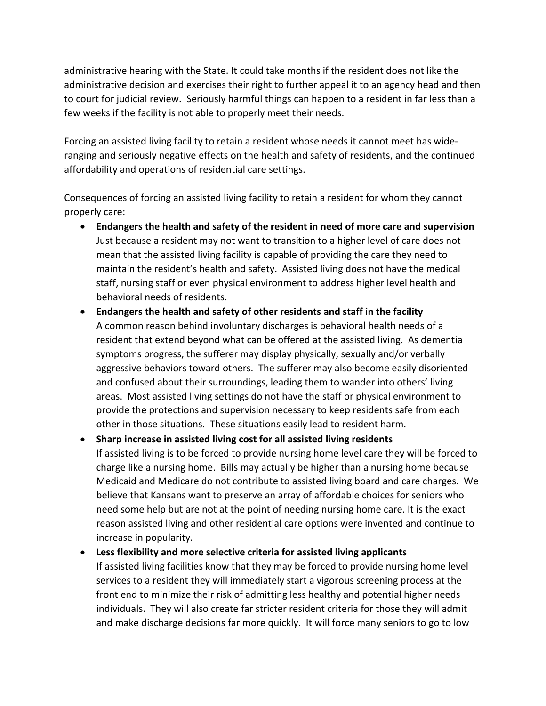administrative hearing with the State. It could take months if the resident does not like the administrative decision and exercises their right to further appeal it to an agency head and then to court for judicial review. Seriously harmful things can happen to a resident in far less than a few weeks if the facility is not able to properly meet their needs.

Forcing an assisted living facility to retain a resident whose needs it cannot meet has wideranging and seriously negative effects on the health and safety of residents, and the continued affordability and operations of residential care settings.

Consequences of forcing an assisted living facility to retain a resident for whom they cannot properly care:

- **Endangers the health and safety of the resident in need of more care and supervision** Just because a resident may not want to transition to a higher level of care does not mean that the assisted living facility is capable of providing the care they need to maintain the resident's health and safety. Assisted living does not have the medical staff, nursing staff or even physical environment to address higher level health and behavioral needs of residents.
- **Endangers the health and safety of other residents and staff in the facility** A common reason behind involuntary discharges is behavioral health needs of a resident that extend beyond what can be offered at the assisted living. As dementia symptoms progress, the sufferer may display physically, sexually and/or verbally aggressive behaviors toward others. The sufferer may also become easily disoriented and confused about their surroundings, leading them to wander into others' living areas. Most assisted living settings do not have the staff or physical environment to provide the protections and supervision necessary to keep residents safe from each other in those situations. These situations easily lead to resident harm.
- **Sharp increase in assisted living cost for all assisted living residents** If assisted living is to be forced to provide nursing home level care they will be forced to charge like a nursing home. Bills may actually be higher than a nursing home because Medicaid and Medicare do not contribute to assisted living board and care charges. We believe that Kansans want to preserve an array of affordable choices for seniors who need some help but are not at the point of needing nursing home care. It is the exact reason assisted living and other residential care options were invented and continue to increase in popularity.

• **Less flexibility and more selective criteria for assisted living applicants** If assisted living facilities know that they may be forced to provide nursing home level services to a resident they will immediately start a vigorous screening process at the front end to minimize their risk of admitting less healthy and potential higher needs individuals. They will also create far stricter resident criteria for those they will admit and make discharge decisions far more quickly. It will force many seniors to go to low